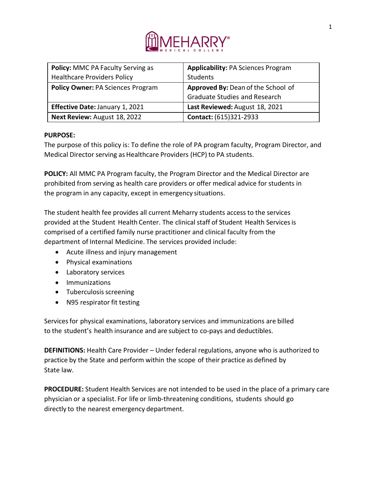

| <b>Policy: MMC PA Faculty Serving as</b> | <b>Applicability: PA Sciences Program</b> |
|------------------------------------------|-------------------------------------------|
| <b>Healthcare Providers Policy</b>       | Students                                  |
| <b>Policy Owner: PA Sciences Program</b> | Approved By: Dean of the School of        |
|                                          | <b>Graduate Studies and Research</b>      |
| <b>Effective Date: January 1, 2021</b>   | Last Reviewed: August 18, 2021            |
| Next Review: August 18, 2022             | Contact: (615)321-2933                    |

## **PURPOSE:**

The purpose of this policy is: To define the role of PA program faculty, Program Director, and Medical Director serving as Healthcare Providers (HCP) to PA students.

**POLICY:** All MMC PA Program faculty, the Program Director and the Medical Director are prohibited from serving as health care providers or offer medical advice for students in the program in any capacity, except in emergency situations.

The student health fee provides all current Meharry students access to the services provided atthe Student Health Center. The clinical staff of Student Health Servicesis comprised of a certified family nurse practitioner and clinical faculty from the department of Internal Medicine. The services provided include:

- Acute illness and injury management
- Physical examinations
- Laboratory services
- Immunizations
- Tuberculosis screening
- N95 respirator fit testing

Servicesfor physical examinations, laboratory services and immunizations are billed to the student's health insurance and are subject to co-pays and deductibles.

**DEFINITIONS:** Health Care Provider – Under federal regulations, anyone who is authorized to practice by the State and perform within the scope of their practice as defined by State law.

**PROCEDURE:** Student Health Services are not intended to be used in the place of a primary care physician or a specialist. For life or limb-threatening conditions, students should go directly to the nearest emergency department.